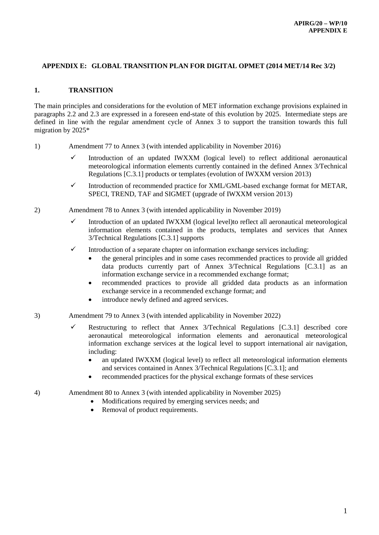## **APPENDIX E: GLOBAL TRANSITION PLAN FOR DIGITAL OPMET (2014 MET/14 Rec 3/2)**

## **1. TRANSITION**

The main principles and considerations for the evolution of MET information exchange provisions explained in paragraphs 2.2 and 2.3 are expressed in a foreseen end-state of this evolution by 2025. Intermediate steps are defined in line with the regular amendment cycle of Annex 3 to support the transition towards this full migration by 2025\*

- 1) Amendment 77 to Annex 3 (with intended applicability in November 2016)
	- $\checkmark$  Introduction of an updated IWXXM (logical level) to reflect additional aeronautical meteorological information elements currently contained in the defined Annex 3/Technical Regulations [C.3.1] products or templates (evolution of IWXXM version 2013)
	- $\checkmark$  Introduction of recommended practice for XML/GML-based exchange format for METAR, SPECI, TREND, TAF and SIGMET (upgrade of IWXXM version 2013)
- 2) Amendment 78 to Annex 3 (with intended applicability in November 2019)
	- Introduction of an updated IWXXM (logical level)to reflect all aeronautical meteorological information elements contained in the products, templates and services that Annex 3/Technical Regulations [C.3.1] supports
	- $\checkmark$  Introduction of a separate chapter on information exchange services including:
		- the general principles and in some cases recommended practices to provide all gridded data products currently part of Annex 3/Technical Regulations [C.3.1] as an information exchange service in a recommended exchange format;
		- recommended practices to provide all gridded data products as an information exchange service in a recommended exchange format; and
		- introduce newly defined and agreed services.
- 3) Amendment 79 to Annex 3 (with intended applicability in November 2022)
	- Restructuring to reflect that Annex 3/Technical Regulations  $[C.3.1]$  described core aeronautical meteorological information elements and aeronautical meteorological information exchange services at the logical level to support international air navigation, including:
		- an updated IWXXM (logical level) to reflect all meteorological information elements and services contained in Annex 3/Technical Regulations [C.3.1]; and
		- recommended practices for the physical exchange formats of these services
- 4) Amendment 80 to Annex 3 (with intended applicability in November 2025)
	- Modifications required by emerging services needs; and
		- Removal of product requirements.